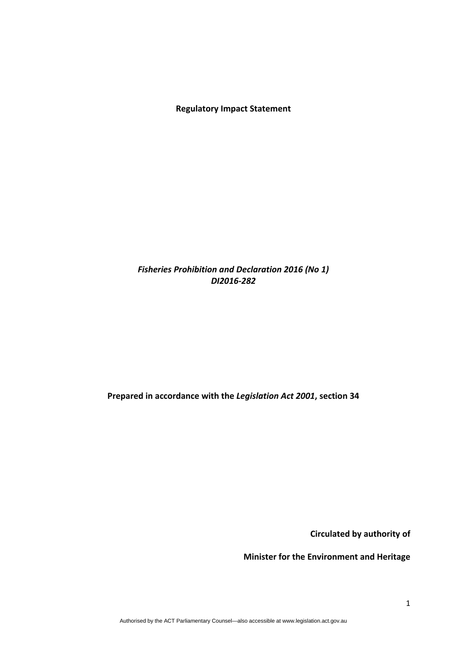**Regulatory Impact Statement**

# *Fisheries Prohibition and Declaration 2016 (No 1) DI2016‐282*

# **Prepared in accordance with the** *Legislation Act 2001***, section 34**

**Circulated by authority of**

**Minister for the Environment and Heritage**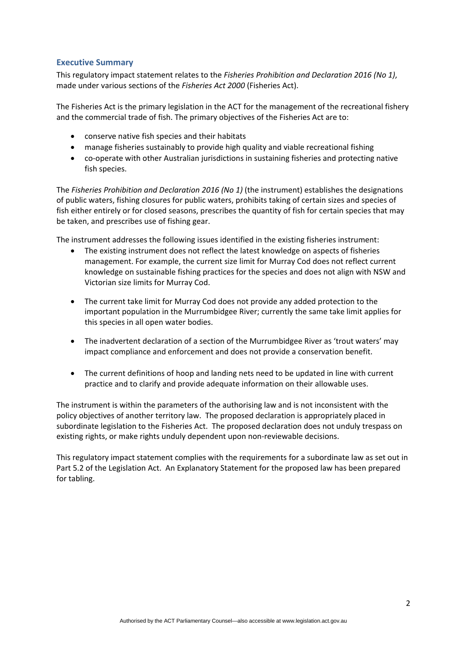#### **Executive Summary**

This regulatory impact statement relates to the *Fisheries Prohibition and Declaration 2016 (No 1)*, made under various sections of the *Fisheries Act 2000* (Fisheries Act).

The Fisheries Act is the primary legislation in the ACT for the management of the recreational fishery and the commercial trade of fish. The primary objectives of the Fisheries Act are to:

- conserve native fish species and their habitats
- manage fisheries sustainably to provide high quality and viable recreational fishing
- co-operate with other Australian jurisdictions in sustaining fisheries and protecting native fish species.

The *Fisheries Prohibition and Declaration 2016 (No 1)* (the instrument) establishes the designations of public waters, fishing closures for public waters, prohibits taking of certain sizes and species of fish either entirely or for closed seasons, prescribes the quantity of fish for certain species that may be taken, and prescribes use of fishing gear.

The instrument addresses the following issues identified in the existing fisheries instrument:

- The existing instrument does not reflect the latest knowledge on aspects of fisheries management. For example, the current size limit for Murray Cod does not reflect current knowledge on sustainable fishing practices for the species and does not align with NSW and Victorian size limits for Murray Cod.
- The current take limit for Murray Cod does not provide any added protection to the important population in the Murrumbidgee River; currently the same take limit applies for this species in all open water bodies.
- The inadvertent declaration of a section of the Murrumbidgee River as 'trout waters' may impact compliance and enforcement and does not provide a conservation benefit.
- The current definitions of hoop and landing nets need to be updated in line with current practice and to clarify and provide adequate information on their allowable uses.

The instrument is within the parameters of the authorising law and is not inconsistent with the policy objectives of another territory law. The proposed declaration is appropriately placed in subordinate legislation to the Fisheries Act. The proposed declaration does not unduly trespass on existing rights, or make rights unduly dependent upon non-reviewable decisions.

This regulatory impact statement complies with the requirements for a subordinate law as set out in Part 5.2 of the Legislation Act. An Explanatory Statement for the proposed law has been prepared for tabling.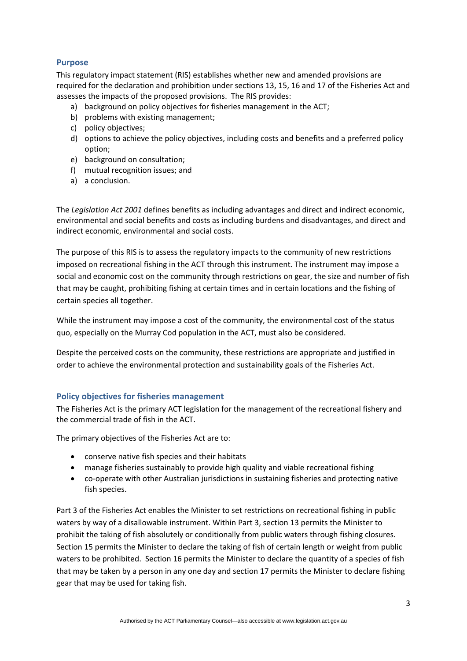# **Purpose**

This regulatory impact statement (RIS) establishes whether new and amended provisions are required for the declaration and prohibition under sections 13, 15, 16 and 17 of the Fisheries Act and assesses the impacts of the proposed provisions. The RIS provides:

- a) background on policy objectives for fisheries management in the ACT;
- b) problems with existing management;
- c) policy objectives;
- d) options to achieve the policy objectives, including costs and benefits and a preferred policy option;
- e) background on consultation;
- f) mutual recognition issues; and
- a) a conclusion.

The *Legislation Act 2001* defines benefits as including advantages and direct and indirect economic, environmental and social benefits and costs as including burdens and disadvantages, and direct and indirect economic, environmental and social costs.

The purpose of this RIS is to assess the regulatory impacts to the community of new restrictions imposed on recreational fishing in the ACT through this instrument. The instrument may impose a social and economic cost on the community through restrictions on gear, the size and number of fish that may be caught, prohibiting fishing at certain times and in certain locations and the fishing of certain species all together.

While the instrument may impose a cost of the community, the environmental cost of the status quo, especially on the Murray Cod population in the ACT, must also be considered.

Despite the perceived costs on the community, these restrictions are appropriate and justified in order to achieve the environmental protection and sustainability goals of the Fisheries Act.

### **Policy objectives for fisheries management**

The Fisheries Act is the primary ACT legislation for the management of the recreational fishery and the commercial trade of fish in the ACT.

The primary objectives of the Fisheries Act are to:

- conserve native fish species and their habitats
- manage fisheries sustainably to provide high quality and viable recreational fishing
- co-operate with other Australian jurisdictions in sustaining fisheries and protecting native fish species.

Part 3 of the Fisheries Act enables the Minister to set restrictions on recreational fishing in public waters by way of a disallowable instrument. Within Part 3, section 13 permits the Minister to prohibit the taking of fish absolutely or conditionally from public waters through fishing closures. Section 15 permits the Minister to declare the taking of fish of certain length or weight from public waters to be prohibited. Section 16 permits the Minister to declare the quantity of a species of fish that may be taken by a person in any one day and section 17 permits the Minister to declare fishing gear that may be used for taking fish.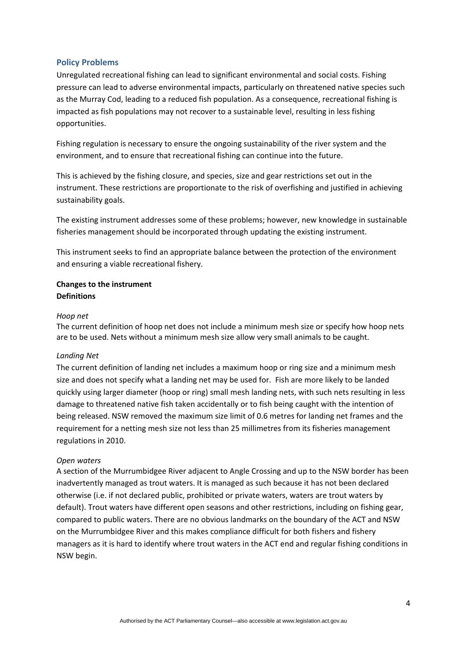#### **Policy Problems**

Unregulated recreational fishing can lead to significant environmental and social costs. Fishing pressure can lead to adverse environmental impacts, particularly on threatened native species such as the Murray Cod, leading to a reduced fish population. As a consequence, recreational fishing is impacted as fish populations may not recover to a sustainable level, resulting in less fishing opportunities.

Fishing regulation is necessary to ensure the ongoing sustainability of the river system and the environment, and to ensure that recreational fishing can continue into the future.

This is achieved by the fishing closure, and species, size and gear restrictions set out in the instrument. These restrictions are proportionate to the risk of overfishing and justified in achieving sustainability goals.

The existing instrument addresses some of these problems; however, new knowledge in sustainable fisheries management should be incorporated through updating the existing instrument.

This instrument seeks to find an appropriate balance between the protection of the environment and ensuring a viable recreational fishery.

## **Changes to the instrument Definitions**

#### *Hoop net*

The current definition of hoop net does not include a minimum mesh size or specify how hoop nets are to be used. Nets without a minimum mesh size allow very small animals to be caught.

#### *Landing Net*

The current definition of landing net includes a maximum hoop or ring size and a minimum mesh size and does not specify what a landing net may be used for. Fish are more likely to be landed quickly using larger diameter (hoop or ring) small mesh landing nets, with such nets resulting in less damage to threatened native fish taken accidentally or to fish being caught with the intention of being released. NSW removed the maximum size limit of 0.6 metres for landing net frames and the requirement for a netting mesh size not less than 25 millimetres from its fisheries management regulations in 2010.

#### *Open waters*

A section of the Murrumbidgee River adjacent to Angle Crossing and up to the NSW border has been inadvertently managed as trout waters. It is managed as such because it has not been declared otherwise (i.e. if not declared public, prohibited or private waters, waters are trout waters by default). Trout waters have different open seasons and other restrictions, including on fishing gear, compared to public waters. There are no obvious landmarks on the boundary of the ACT and NSW on the Murrumbidgee River and this makes compliance difficult for both fishers and fishery managers as it is hard to identify where trout waters in the ACT end and regular fishing conditions in NSW begin.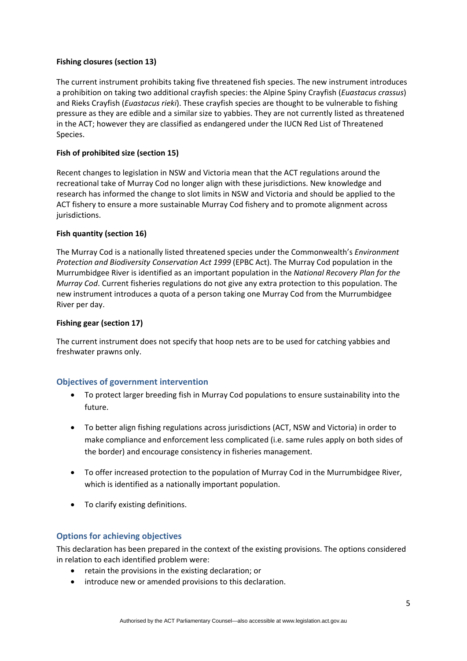#### **Fishing closures (section 13)**

The current instrument prohibits taking five threatened fish species. The new instrument introduces a prohibition on taking two additional crayfish species: the Alpine Spiny Crayfish (*Euastacus crassus*) and Rieks Crayfish (*Euastacus rieki*). These crayfish species are thought to be vulnerable to fishing pressure as they are edible and a similar size to yabbies. They are not currently listed as threatened in the ACT; however they are classified as endangered under the IUCN Red List of Threatened Species.

#### **Fish of prohibited size (section 15)**

Recent changes to legislation in NSW and Victoria mean that the ACT regulations around the recreational take of Murray Cod no longer align with these jurisdictions. New knowledge and research has informed the change to slot limits in NSW and Victoria and should be applied to the ACT fishery to ensure a more sustainable Murray Cod fishery and to promote alignment across jurisdictions.

#### **Fish quantity (section 16)**

The Murray Cod is a nationally listed threatened species under the Commonwealth's *Environment Protection and Biodiversity Conservation Act 1999* (EPBC Act). The Murray Cod population in the Murrumbidgee River is identified as an important population in the *National Recovery Plan for the Murray Cod*. Current fisheries regulations do not give any extra protection to this population. The new instrument introduces a quota of a person taking one Murray Cod from the Murrumbidgee River per day.

#### **Fishing gear (section 17)**

The current instrument does not specify that hoop nets are to be used for catching yabbies and freshwater prawns only.

### **Objectives of government intervention**

- To protect larger breeding fish in Murray Cod populations to ensure sustainability into the future.
- To better align fishing regulations across jurisdictions (ACT, NSW and Victoria) in order to make compliance and enforcement less complicated (i.e. same rules apply on both sides of the border) and encourage consistency in fisheries management.
- To offer increased protection to the population of Murray Cod in the Murrumbidgee River, which is identified as a nationally important population.
- To clarify existing definitions.

### **Options for achieving objectives**

This declaration has been prepared in the context of the existing provisions. The options considered in relation to each identified problem were:

- retain the provisions in the existing declaration; or
- introduce new or amended provisions to this declaration.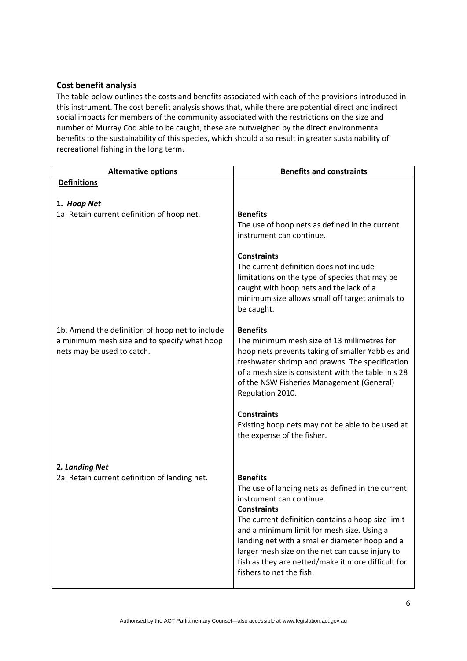## **Cost benefit analysis**

The table below outlines the costs and benefits associated with each of the provisions introduced in this instrument. The cost benefit analysis shows that, while there are potential direct and indirect social impacts for members of the community associated with the restrictions on the size and number of Murray Cod able to be caught, these are outweighed by the direct environmental benefits to the sustainability of this species, which should also result in greater sustainability of recreational fishing in the long term.

| <b>Alternative options</b>                                                                                                    | <b>Benefits and constraints</b>                                                                                                                                                                                                                                                                                                                                                                                  |
|-------------------------------------------------------------------------------------------------------------------------------|------------------------------------------------------------------------------------------------------------------------------------------------------------------------------------------------------------------------------------------------------------------------------------------------------------------------------------------------------------------------------------------------------------------|
| <b>Definitions</b>                                                                                                            |                                                                                                                                                                                                                                                                                                                                                                                                                  |
|                                                                                                                               |                                                                                                                                                                                                                                                                                                                                                                                                                  |
| 1. Hoop Net<br>1a. Retain current definition of hoop net.                                                                     | <b>Benefits</b>                                                                                                                                                                                                                                                                                                                                                                                                  |
|                                                                                                                               | The use of hoop nets as defined in the current<br>instrument can continue.                                                                                                                                                                                                                                                                                                                                       |
|                                                                                                                               | <b>Constraints</b><br>The current definition does not include<br>limitations on the type of species that may be<br>caught with hoop nets and the lack of a<br>minimum size allows small off target animals to<br>be caught.                                                                                                                                                                                      |
| 1b. Amend the definition of hoop net to include<br>a minimum mesh size and to specify what hoop<br>nets may be used to catch. | <b>Benefits</b><br>The minimum mesh size of 13 millimetres for<br>hoop nets prevents taking of smaller Yabbies and<br>freshwater shrimp and prawns. The specification<br>of a mesh size is consistent with the table in s 28<br>of the NSW Fisheries Management (General)<br>Regulation 2010.<br><b>Constraints</b>                                                                                              |
|                                                                                                                               | Existing hoop nets may not be able to be used at<br>the expense of the fisher.                                                                                                                                                                                                                                                                                                                                   |
| 2. Landing Net                                                                                                                |                                                                                                                                                                                                                                                                                                                                                                                                                  |
| 2a. Retain current definition of landing net.                                                                                 | <b>Benefits</b><br>The use of landing nets as defined in the current<br>instrument can continue.<br><b>Constraints</b><br>The current definition contains a hoop size limit<br>and a minimum limit for mesh size. Using a<br>landing net with a smaller diameter hoop and a<br>larger mesh size on the net can cause injury to<br>fish as they are netted/make it more difficult for<br>fishers to net the fish. |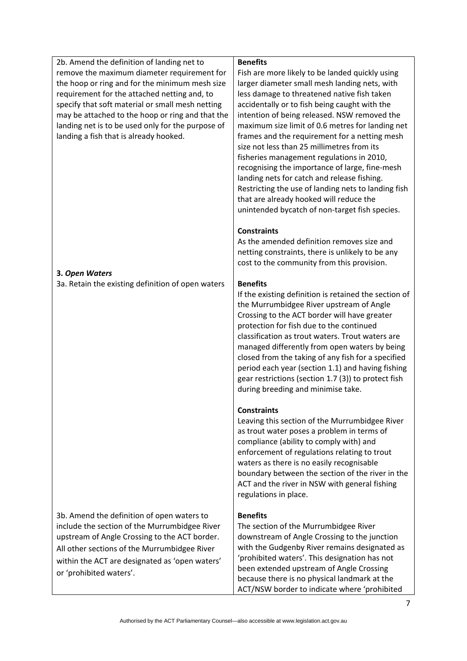| 2b. Amend the definition of landing net to<br>remove the maximum diameter requirement for<br>the hoop or ring and for the minimum mesh size<br>requirement for the attached netting and, to<br>specify that soft material or small mesh netting<br>may be attached to the hoop or ring and that the | <b>Benefits</b><br>Fish are more likely to be landed quickly using<br>larger diameter small mesh landing nets, with<br>less damage to threatened native fish taken<br>accidentally or to fish being caught with the<br>intention of being released. NSW removed the                                                                                                                                                                                                                                        |
|-----------------------------------------------------------------------------------------------------------------------------------------------------------------------------------------------------------------------------------------------------------------------------------------------------|------------------------------------------------------------------------------------------------------------------------------------------------------------------------------------------------------------------------------------------------------------------------------------------------------------------------------------------------------------------------------------------------------------------------------------------------------------------------------------------------------------|
| landing net is to be used only for the purpose of<br>landing a fish that is already hooked.                                                                                                                                                                                                         | maximum size limit of 0.6 metres for landing net<br>frames and the requirement for a netting mesh<br>size not less than 25 millimetres from its<br>fisheries management regulations in 2010,<br>recognising the importance of large, fine-mesh<br>landing nets for catch and release fishing.<br>Restricting the use of landing nets to landing fish<br>that are already hooked will reduce the<br>unintended bycatch of non-target fish species.                                                          |
|                                                                                                                                                                                                                                                                                                     | <b>Constraints</b><br>As the amended definition removes size and<br>netting constraints, there is unlikely to be any<br>cost to the community from this provision.                                                                                                                                                                                                                                                                                                                                         |
| 3. Open Waters                                                                                                                                                                                                                                                                                      |                                                                                                                                                                                                                                                                                                                                                                                                                                                                                                            |
| 3a. Retain the existing definition of open waters                                                                                                                                                                                                                                                   | <b>Benefits</b>                                                                                                                                                                                                                                                                                                                                                                                                                                                                                            |
|                                                                                                                                                                                                                                                                                                     | If the existing definition is retained the section of<br>the Murrumbidgee River upstream of Angle<br>Crossing to the ACT border will have greater<br>protection for fish due to the continued<br>classification as trout waters. Trout waters are<br>managed differently from open waters by being<br>closed from the taking of any fish for a specified<br>period each year (section 1.1) and having fishing<br>gear restrictions (section 1.7 (3)) to protect fish<br>during breeding and minimise take. |
|                                                                                                                                                                                                                                                                                                     | <b>Constraints</b><br>Leaving this section of the Murrumbidgee River<br>as trout water poses a problem in terms of<br>compliance (ability to comply with) and<br>enforcement of regulations relating to trout<br>waters as there is no easily recognisable<br>boundary between the section of the river in the<br>ACT and the river in NSW with general fishing<br>regulations in place.                                                                                                                   |
| 3b. Amend the definition of open waters to<br>include the section of the Murrumbidgee River<br>upstream of Angle Crossing to the ACT border.<br>All other sections of the Murrumbidgee River<br>within the ACT are designated as 'open waters'<br>or 'prohibited waters'.                           | <b>Benefits</b><br>The section of the Murrumbidgee River<br>downstream of Angle Crossing to the junction<br>with the Gudgenby River remains designated as<br>'prohibited waters'. This designation has not<br>been extended upstream of Angle Crossing<br>because there is no physical landmark at the<br>ACT/NSW border to indicate where 'prohibited                                                                                                                                                     |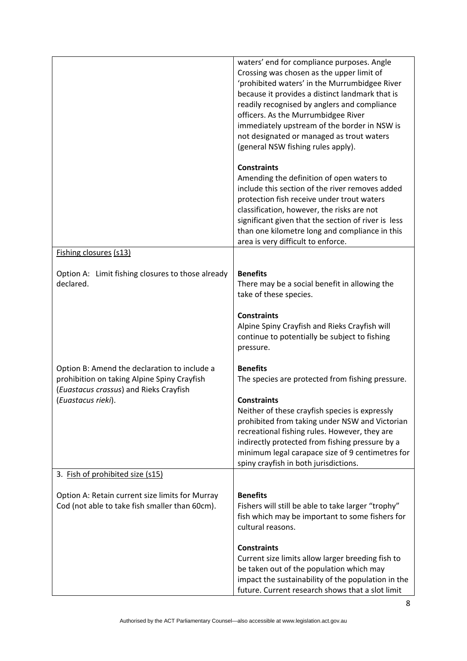|                                                                                                   | waters' end for compliance purposes. Angle<br>Crossing was chosen as the upper limit of<br>'prohibited waters' in the Murrumbidgee River<br>because it provides a distinct landmark that is<br>readily recognised by anglers and compliance<br>officers. As the Murrumbidgee River<br>immediately upstream of the border in NSW is<br>not designated or managed as trout waters<br>(general NSW fishing rules apply). |
|---------------------------------------------------------------------------------------------------|-----------------------------------------------------------------------------------------------------------------------------------------------------------------------------------------------------------------------------------------------------------------------------------------------------------------------------------------------------------------------------------------------------------------------|
|                                                                                                   | <b>Constraints</b><br>Amending the definition of open waters to<br>include this section of the river removes added<br>protection fish receive under trout waters<br>classification, however, the risks are not<br>significant given that the section of river is less<br>than one kilometre long and compliance in this<br>area is very difficult to enforce.                                                         |
| Fishing closures (s13)                                                                            |                                                                                                                                                                                                                                                                                                                                                                                                                       |
| Option A: Limit fishing closures to those already<br>declared.                                    | <b>Benefits</b><br>There may be a social benefit in allowing the<br>take of these species.                                                                                                                                                                                                                                                                                                                            |
|                                                                                                   | <b>Constraints</b><br>Alpine Spiny Crayfish and Rieks Crayfish will<br>continue to potentially be subject to fishing<br>pressure.                                                                                                                                                                                                                                                                                     |
| Option B: Amend the declaration to include a<br>prohibition on taking Alpine Spiny Crayfish       | <b>Benefits</b><br>The species are protected from fishing pressure.                                                                                                                                                                                                                                                                                                                                                   |
| (Euastacus crassus) and Rieks Crayfish<br>(Euastacus rieki).                                      | <b>Constraints</b><br>Neither of these crayfish species is expressly<br>prohibited from taking under NSW and Victorian<br>recreational fishing rules. However, they are<br>indirectly protected from fishing pressure by a<br>minimum legal carapace size of 9 centimetres for<br>spiny crayfish in both jurisdictions.                                                                                               |
| 3. Fish of prohibited size (s15)                                                                  |                                                                                                                                                                                                                                                                                                                                                                                                                       |
| Option A: Retain current size limits for Murray<br>Cod (not able to take fish smaller than 60cm). | <b>Benefits</b><br>Fishers will still be able to take larger "trophy"<br>fish which may be important to some fishers for<br>cultural reasons.                                                                                                                                                                                                                                                                         |
|                                                                                                   | <b>Constraints</b><br>Current size limits allow larger breeding fish to<br>be taken out of the population which may<br>impact the sustainability of the population in the<br>future. Current research shows that a slot limit                                                                                                                                                                                         |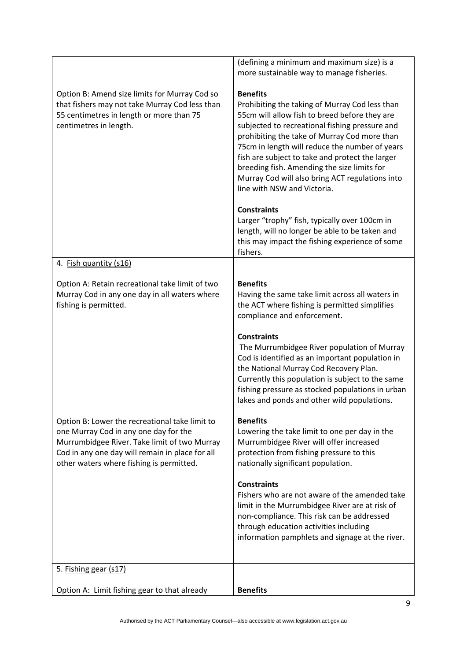|                                                                                                                                                                                                                                        | (defining a minimum and maximum size) is a<br>more sustainable way to manage fisheries.                                                                                                                                                                                                                                                                                                                                                                                                                                                                                                                                                           |
|----------------------------------------------------------------------------------------------------------------------------------------------------------------------------------------------------------------------------------------|---------------------------------------------------------------------------------------------------------------------------------------------------------------------------------------------------------------------------------------------------------------------------------------------------------------------------------------------------------------------------------------------------------------------------------------------------------------------------------------------------------------------------------------------------------------------------------------------------------------------------------------------------|
| Option B: Amend size limits for Murray Cod so<br>that fishers may not take Murray Cod less than<br>55 centimetres in length or more than 75<br>centimetres in length.                                                                  | <b>Benefits</b><br>Prohibiting the taking of Murray Cod less than<br>55cm will allow fish to breed before they are<br>subjected to recreational fishing pressure and<br>prohibiting the take of Murray Cod more than<br>75cm in length will reduce the number of years<br>fish are subject to take and protect the larger<br>breeding fish. Amending the size limits for<br>Murray Cod will also bring ACT regulations into<br>line with NSW and Victoria.<br><b>Constraints</b><br>Larger "trophy" fish, typically over 100cm in<br>length, will no longer be able to be taken and<br>this may impact the fishing experience of some<br>fishers. |
| 4. Fish quantity (s16)                                                                                                                                                                                                                 |                                                                                                                                                                                                                                                                                                                                                                                                                                                                                                                                                                                                                                                   |
| Option A: Retain recreational take limit of two<br>Murray Cod in any one day in all waters where<br>fishing is permitted.                                                                                                              | <b>Benefits</b><br>Having the same take limit across all waters in<br>the ACT where fishing is permitted simplifies<br>compliance and enforcement.                                                                                                                                                                                                                                                                                                                                                                                                                                                                                                |
|                                                                                                                                                                                                                                        | <b>Constraints</b><br>The Murrumbidgee River population of Murray<br>Cod is identified as an important population in<br>the National Murray Cod Recovery Plan.<br>Currently this population is subject to the same<br>fishing pressure as stocked populations in urban<br>lakes and ponds and other wild populations.                                                                                                                                                                                                                                                                                                                             |
| Option B: Lower the recreational take limit to<br>one Murray Cod in any one day for the<br>Murrumbidgee River. Take limit of two Murray<br>Cod in any one day will remain in place for all<br>other waters where fishing is permitted. | <b>Benefits</b><br>Lowering the take limit to one per day in the<br>Murrumbidgee River will offer increased<br>protection from fishing pressure to this<br>nationally significant population.                                                                                                                                                                                                                                                                                                                                                                                                                                                     |
|                                                                                                                                                                                                                                        | <b>Constraints</b><br>Fishers who are not aware of the amended take<br>limit in the Murrumbidgee River are at risk of<br>non-compliance. This risk can be addressed<br>through education activities including<br>information pamphlets and signage at the river.                                                                                                                                                                                                                                                                                                                                                                                  |
| 5. Fishing gear (s17)                                                                                                                                                                                                                  |                                                                                                                                                                                                                                                                                                                                                                                                                                                                                                                                                                                                                                                   |
| Option A: Limit fishing gear to that already                                                                                                                                                                                           | <b>Benefits</b>                                                                                                                                                                                                                                                                                                                                                                                                                                                                                                                                                                                                                                   |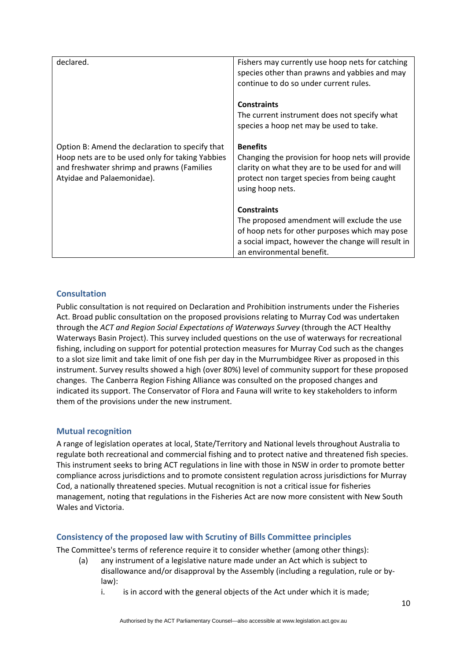| declared.                                                                                                                                                                       | Fishers may currently use hoop nets for catching<br>species other than prawns and yabbies and may<br>continue to do so under current rules.                                                            |
|---------------------------------------------------------------------------------------------------------------------------------------------------------------------------------|--------------------------------------------------------------------------------------------------------------------------------------------------------------------------------------------------------|
|                                                                                                                                                                                 | <b>Constraints</b><br>The current instrument does not specify what<br>species a hoop net may be used to take.                                                                                          |
| Option B: Amend the declaration to specify that<br>Hoop nets are to be used only for taking Yabbies<br>and freshwater shrimp and prawns (Families<br>Atyidae and Palaemonidae). | <b>Benefits</b><br>Changing the provision for hoop nets will provide<br>clarity on what they are to be used for and will<br>protect non target species from being caught<br>using hoop nets.           |
|                                                                                                                                                                                 | <b>Constraints</b><br>The proposed amendment will exclude the use<br>of hoop nets for other purposes which may pose<br>a social impact, however the change will result in<br>an environmental benefit. |

# **Consultation**

Public consultation is not required on Declaration and Prohibition instruments under the Fisheries Act. Broad public consultation on the proposed provisions relating to Murray Cod was undertaken through the *ACT and Region Social Expectations of Waterways Survey* (through the ACT Healthy Waterways Basin Project). This survey included questions on the use of waterways for recreational fishing, including on support for potential protection measures for Murray Cod such as the changes to a slot size limit and take limit of one fish per day in the Murrumbidgee River as proposed in this instrument. Survey results showed a high (over 80%) level of community support for these proposed changes. The Canberra Region Fishing Alliance was consulted on the proposed changes and indicated its support. The Conservator of Flora and Fauna will write to key stakeholders to inform them of the provisions under the new instrument.

### **Mutual recognition**

A range of legislation operates at local, State/Territory and National levels throughout Australia to regulate both recreational and commercial fishing and to protect native and threatened fish species. This instrument seeks to bring ACT regulations in line with those in NSW in order to promote better compliance across jurisdictions and to promote consistent regulation across jurisdictions for Murray Cod, a nationally threatened species. Mutual recognition is not a critical issue for fisheries management, noting that regulations in the Fisheries Act are now more consistent with New South Wales and Victoria.

### **Consistency of the proposed law with Scrutiny of Bills Committee principles**

The Committee's terms of reference require it to consider whether (among other things):

- (a) any instrument of a legislative nature made under an Act which is subject to disallowance and/or disapproval by the Assembly (including a regulation, rule or by‐ law):
	- i. is in accord with the general objects of the Act under which it is made;